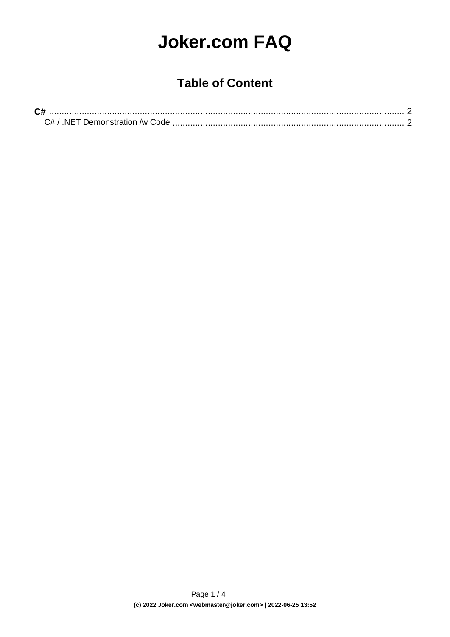## **Joker.com FAQ**

## **Table of Content**

| NET Demonstration /w Code |  |
|---------------------------|--|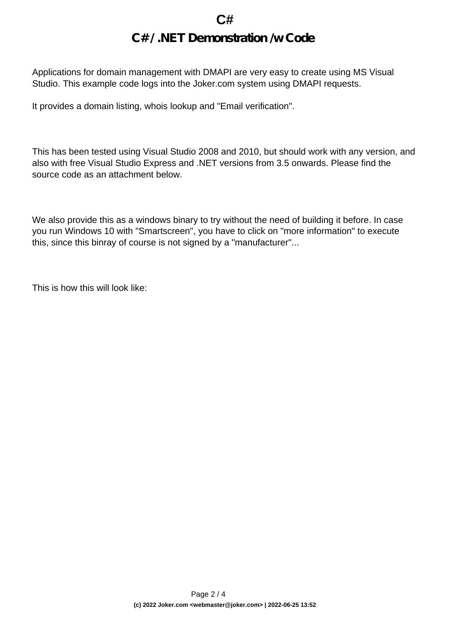## **C# C# / .NET Demonstration /w Code**

<span id="page-1-0"></span>Applications for domain management with DMAPI are very easy to create using MS Visual Studio. This example code logs into the Joker.com system using DMAPI requests.

It provides a domain listing, whois lookup and "Email verification".

This has been tested using Visual Studio 2008 and 2010, but should work with any version, and also with free Visual Studio Express and .NET versions from 3.5 onwards. Please find the source code as an attachment below.

We also provide this as a windows binary to try without the need of building it before. In case you run Windows 10 with "Smartscreen", you have to click on "more information" to execute this, since this binray of course is not signed by a "manufacturer"...

This is how this will look like: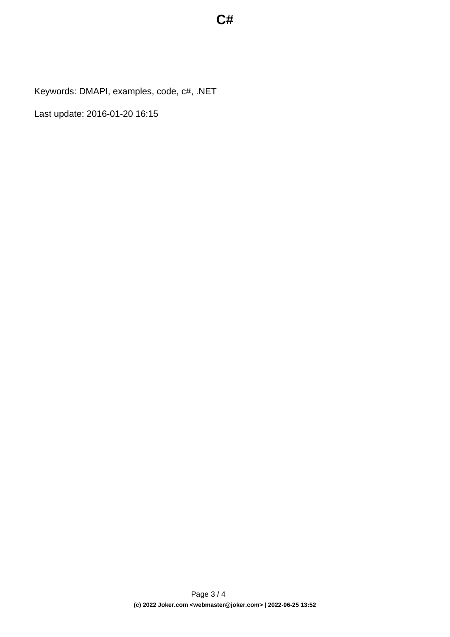Keywords: DMAPI, examples, code, c#, .NET

Last update: 2016-01-20 16:15